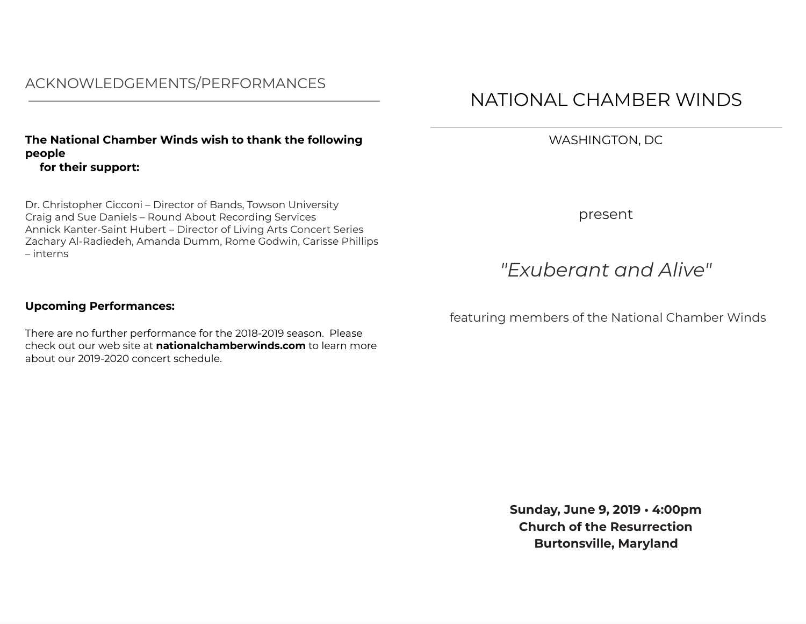# ACKNOWLEDGEMENTS/PERFORMANCES

## **The National Chamber Winds wish to thank the following people for their support:**

Dr. Christopher Cicconi – Director of Bands, Towson University Craig and Sue Daniels – Round About Recording Services Annick Kanter-Saint Hubert – Director of Living Arts Concert Series Zachary Al-Radiedeh, Amanda Dumm, Rome Godwin, Carisse Phillips – interns

## **Upcoming Performances:**

There are no further performance for the 2018-2019 season. Please check out our web site at **nationalchamberwinds.com** to learn more about our 2019-2020 concert schedule.

# NATIONAL CHAMBER WINDS

WASHINGTON, DC

present

# *"Exuberant and Alive"*

featuring members of the National Chamber Winds

**Sunday, June 9, 2019 • 4:00pm Church of the Resurrection Burtonsville, Maryland**